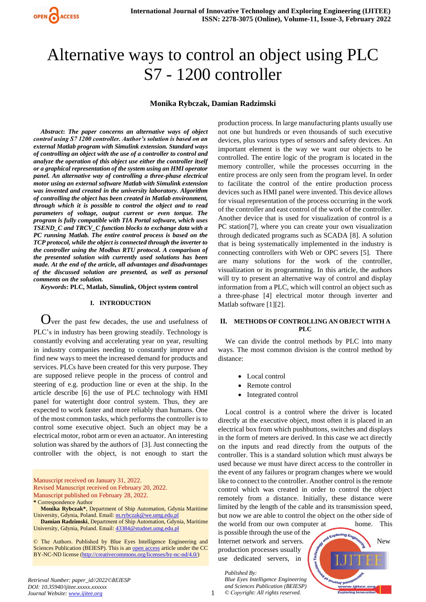

# Alternative ways to control an object using PLC S7 - 1200 controller

## **Monika Rybczak, Damian Radzimski**

*Abstract***:** *The paper concerns an alternative ways of object control using S7 1200 controller. Author's solution is based on an external Matlab program with Simulink extension. Standard ways of controlling an object with the use of a controller to control and analyze the operation of this object use either the controller itself or a graphical representation of the system using an HMI operator panel. An alternative way of controlling a three-phase electrical motor using an external software Matlab with Simulink extension was invented and created in the university laboratory. Algorithm of controlling the object has been created in Matlab environment, through which it is possible to control the object and to read parameters of voltage, output current or even torque. The program is fully compatible with TIA Portal software, which uses TSEND\_C and TRCV\_C function blocks to exchange data with a PC running Matlab. The entire control process is based on the TCP protocol, while the object is connected through the inverter to the controller using the Modbus RTU protocol. A comparison of the presented solution with currently used solutions has been made. At the end of the article, all advantages and disadvantages of the discussed solution are presented, as well as personal comments on the solution.*

*Keywords***: PLC, Matlab, Simulink, Object system control**

## **I. INTRODUCTION**

Over the past few decades, the use and usefulness of PLC's in industry has been growing steadily. Technology is constantly evolving and accelerating year on year, resulting in industry companies needing to constantly improve and find new ways to meet the increased demand for products and services. PLCs have been created for this very purpose. They are supposed relieve people in the process of control and steering of e.g. production line or even at the ship. In the article describe [6] the use of PLC technology with HMI panel for watertight door control system. Thus, they are expected to work faster and more reliably than humans. One of the most common tasks, which performs the controller is to control some executive object. Such an object may be a electrical motor, robot arm or even an actuator. An interesting solution was shared by the authors of [3]. Just connecting the controller with the object, is not enough to start the

Manuscript received on January 31, 2022. Revised Manuscript received on February 20, 2022. Manuscript published on February 28, 2022.

**\*** Correspondence Author

**Damian Radzimski**, Department of Ship Automation, Gdynia, Maritime University, Gdynia, Poland. Email[: 43384@studnet.umg.edu.pl](mailto:43384@studnet.umg.edu.pl) 

© The Authors. Published by Blue Eyes Intelligence Engineering and Sciences Publication (BEIESP). This is a[n open access](https://www.openaccess.nl/en/open-publications) article under the CC BY-NC-ND license [\(http://creativecommons.org/licenses/by-nc-nd/4.0/\)](http://creativecommons.org/licenses/by-nc-nd/4.0/)

production process. In large manufacturing plants usually use not one but hundreds or even thousands of such executive devices, plus various types of sensors and safety devices. An important element is the way we want our objects to be controlled. The entire logic of the program is located in the memory controller, while the processes occurring in the entire process are only seen from the program level. In order to facilitate the control of the entire production process devices such as HMI panel were invented. This device allows for visual representation of the process occurring in the work of the controller and east control of the work of the controller. Another device that is used for visualization of control is a PC station[7], where you can create your own visualization through dedicated programs such as SCADA [8]. A solution that is being systematically implemented in the industry is connecting controllers with Web or OPC severs [5]. There are many solutions for the work of the controller, visualization or its programming. In this article, the authors will try to present an alternative way of control and display information from a PLC, which will control an object such as a three-phase [4] electrical motor through inverter and Matlab software [1][2].

## **II. METHODS OF CONTROLLING AN OBJECT WITH A PLC**

We can divide the control methods by PLC into many ways. The most common division is the control method by distance:

- Local control
- Remote control
- Integrated control

Local control is a control where the driver is located directly at the executive object, most often it is placed in an electrical box from which pushbuttons, switches and displays in the form of meters are derived. In this case we act directly on the inputs and read directly from the outputs of the controller. This is a standard solution which must always be used because we must have direct access to the controller in the event of any failures or program changes where we would like to connect to the controller. Another control is the remote control which was created in order to control the object remotely from a distance. Initially, these distance were limited by the length of the cable and its transmission speed, but now we are able to control the object on the other side of

the world from our own computer at home. This is possible through the use of the Internet network and servers. And  $\mathcal{L}_{\mathbf{A}}$ production processes usually use dedicated servers, in

*Blue Eyes Intelligence Engineering and Sciences Publication (BEIESP) © Copyright: All rights reserved.*

*Published By:*



**Monika Rybczak\***, Department of Ship Automation, Gdynia Maritime University, Gdynia, Poland. Email[: m.rybczak@we.umg.edu.pl](mailto:m.rybczak@we.umg.edu.pg)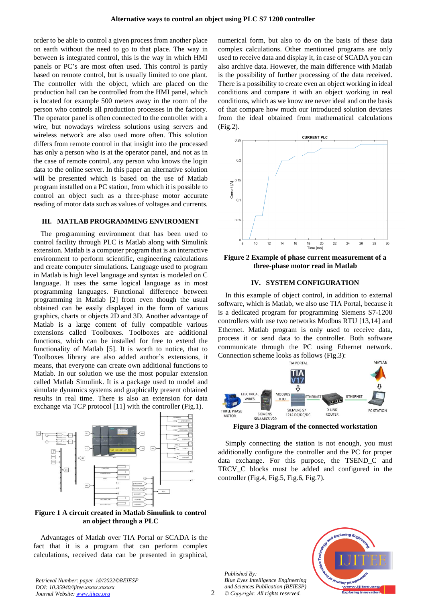order to be able to control a given process from another place on earth without the need to go to that place. The way in between is integrated control, this is the way in which HMI panels or PC's are most often used. This control is partly based on remote control, but is usually limited to one plant. The controller with the object, which are placed on the production hall can be controlled from the HMI panel, which is located for example 500 meters away in the room of the person who controls all production processes in the factory. The operator panel is often connected to the controller with a wire, but nowadays wireless solutions using servers and wireless network are also used more often. This solution differs from remote control in that insight into the processed has only a person who is at the operator panel, and not as in the case of remote control, any person who knows the login data to the online server. In this paper an alternative solution will be presented which is based on the use of Matlab program installed on a PC station, from which it is possible to control an object such as a three-phase motor accurate reading of motor data such as values of voltages and currents.

#### **III. MATLAB PROGRAMMING ENVIROMENT**

The programming environment that has been used to control facility through PLC is Matlab along with Simulink extension. Matlab is a computer program that is an interactive environment to perform scientific, engineering calculations and create computer simulations. Language used to program in Matlab is high level language and syntax is modeled on C language. It uses the same logical language as in most programming languages. Functional difference between programming in Matlab [2] from even though the usual obtained can be easily displayed in the form of various graphics, charts or objects 2D and 3D. Another advantage of Matlab is a large content of fully compatible various extensions called Toolboxes. Toolboxes are additional functions, which can be installed for free to extend the functionality of Matlab [5]. It is worth to notice, that to Toolboxes library are also added author's extensions, it means, that everyone can create own additional functions to Matlab. In our solution we use the most popular extension called Matlab Simulink. It is a package used to model and simulate dynamics systems and graphically present obtained results in real time. There is also an extension for data exchange via TCP protocol [11] with the controller (Fig.1).



**Figure 1 A circuit created in Matlab Simulink to control an object through a PLC**

Advantages of Matlab over TIA Portal or SCADA is the fact that it is a program that can perform complex calculations, received data can be presented in graphical, numerical form, but also to do on the basis of these data complex calculations. Other mentioned programs are only used to receive data and display it, in case of SCADA you can also archive data. However, the main difference with Matlab is the possibility of further processing of the data received. There is a possibility to create even an object working in ideal conditions and compare it with an object working in real conditions, which as we know are never ideal and on the basis of that compare how much our introduced solution deviates from the ideal obtained from mathematical calculations (Fig.2).



**Figure 2 Example of phase current measurement of a three-phase motor read in Matlab**

## **IV. SYSTEM CONFIGURATION**

In this example of object control, in addition to external software, which is Matlab, we also use TIA Portal, because it is a dedicated program for programming Siemens S7-1200 controllers with use two networks Modbus RTU [13,14] and Ethernet. Matlab program is only used to receive data, process it or send data to the controller. Both software communicate through the PC using Ethernet network. Connection scheme looks as follows (Fig.3): MATI AR



**Figure 3 Diagram of the connected workstation**

Simply connecting the station is not enough, you must additionally configure the controller and the PC for proper data exchange. For this purpose, the TSEND\_C and TRCV\_C blocks must be added and configured in the controller (Fig.4, Fig.5, Fig.6, Fig.7).

*Published By: Blue Eyes Intelligence Engineering and Sciences Publication (BEIESP) © Copyright: All rights reserved.*

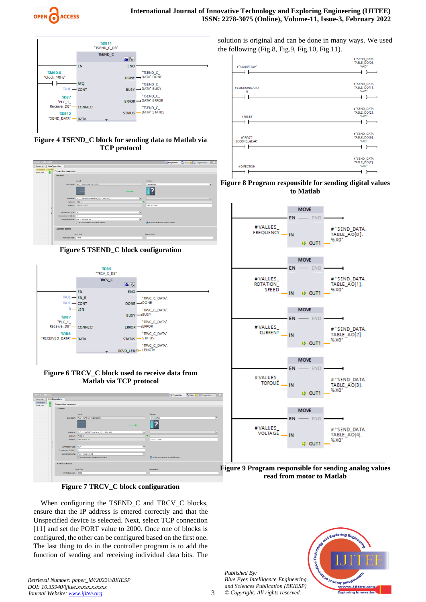

# **International Journal of Innovative Technology and Exploring Engineering (IJITEE) ISSN: 2278-3075 (Online), Volume-11, Issue-3, February 2022**



**Figure 4 TSEND\_C block for sending data to Matlab via TCP protocol**

| <b>TSEND_C [FB1030]</b>                      |                        |                                                           | C Properties   Ulnfo D S Diagnostics   C |                |
|----------------------------------------------|------------------------|-----------------------------------------------------------|------------------------------------------|----------------|
| Configuration<br>General                     |                        |                                                           |                                          |                |
| Connection parameter<br>Connection parameter |                        |                                                           |                                          |                |
|                                              | General                |                                                           |                                          |                |
|                                              |                        | Local                                                     | Partner                                  |                |
|                                              |                        | End point: PLC_1 [CPU 1214C DODODC]                       | Unspecified                              | ⊶              |
|                                              |                        |                                                           |                                          |                |
|                                              |                        | Interface: PLC_1, PROFINET interface_1[X1 : PN(LAN))<br>▬ |                                          | $\overline{ }$ |
|                                              | Subnet:   PNIE_1       |                                                           |                                          |                |
|                                              |                        | Address: 143.30.128.37                                    | 143.30.128.47                            |                |
|                                              |                        |                                                           |                                          |                |
|                                              | Connection type: TCP   | ۰                                                         |                                          |                |
|                                              | Connection ID (dec): 1 |                                                           |                                          |                |
|                                              |                        | Connection data: PLC_1_Receive_DB<br>÷                    |                                          |                |
|                                              |                        | ○ Active connection establishment                         | Active connection establishment          |                |
|                                              | <b>Address details</b> |                                                           |                                          |                |
|                                              |                        | <b>Local Port</b>                                         | <b>Partner Port</b>                      |                |
|                                              | Port (decimal): 2000   |                                                           |                                          |                |
|                                              |                        |                                                           |                                          |                |





# **Figure 6 TRCV\_C block used to receive data from Matlab via TCP protocol**

| <b>TRCV_C [FB1031]</b>         |                        |                                                           | <b>Q Properties 1.</b> Info <b>0</b> Diagnostics <b>1</b> |                |
|--------------------------------|------------------------|-----------------------------------------------------------|-----------------------------------------------------------|----------------|
| General                        | Configuration          |                                                           |                                                           |                |
| း<br>Connection.<br>Block para | Connection parameter   |                                                           |                                                           |                |
|                                | General                |                                                           |                                                           |                |
|                                |                        | Local                                                     | Partner                                                   |                |
|                                |                        | End point: PLC_1 [CPU 1214C DC/DC/DC]                     | <b>Unspecified</b>                                        | $\overline{ }$ |
|                                |                        |                                                           |                                                           |                |
|                                |                        | Interface: PLC_1, PROFINET interface_1[X1 : PN(LAN)]<br>同 |                                                           | ×              |
|                                | Subnet: PNIE_1         |                                                           |                                                           |                |
|                                |                        | Address: 143.30.128.37                                    | 143.30.128.47                                             |                |
|                                |                        |                                                           |                                                           |                |
|                                | Connection type: RP    | ▫                                                         |                                                           |                |
|                                | Connection ID (dec): 1 |                                                           |                                                           |                |
|                                |                        | $\overline{ }$<br>Connection data: PLC_1_Receive_DB       |                                                           |                |
|                                |                        | ○ Active connection establishment                         | Active connection establishment                           |                |
|                                | <b>Address details</b> |                                                           |                                                           |                |
|                                |                        | <b>Local Port</b>                                         | <b>Partner Port</b>                                       |                |
|                                | Port (decimal): 2000   |                                                           |                                                           |                |
|                                |                        |                                                           |                                                           |                |
|                                |                        |                                                           |                                                           |                |

# **Figure 7 TRCV\_C block configuration**

When configuring the TSEND\_C and TRCV\_C blocks, ensure that the IP address is entered correctly and that the Unspecified device is selected. Next, select TCP connection [11] and set the PORT value to 2000. Once one of blocks is configured, the other can be configured based on the first one. The last thing to do in the controller program is to add the function of sending and receiving individual data bits. The

*Retrieval Number: paper\_id//2022©BEIESP DOI: 10.35940/ijitee.xxxxx.xxxxxx Journal Website[: www.ijitee.org](http://www.ijitee.org/)*

*Published By: Blue Eyes Intelligence Engineering and Sciences Publication (BEIESP) © Copyright: All rights reserved.*



solution is original and can be done in many ways. We used the following (Fig.8, Fig.9, Fig.10, Fig.11).







**Figure 9 Program responsible for sending analog values read from motor to Matlab**

3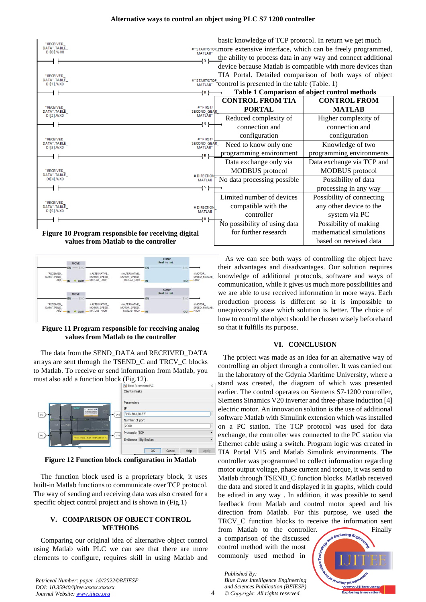## **Alternative ways to control an object using PLC S7 1200 controller**





## **Figure 11 Program responsible for receiving analog values from Matlab to the controller**

The data from the SEND\_DATA and RECEIVED\_DATA arrays are sent through the TSEND\_C and TRCV\_C blocks to Matlab. To receive or send information from Matlab, you must also add a function block (Fig.12).



**Figure 12 Function block configuration in Matlab**

The function block used is a proprietary block, it uses built-in Matlab functions to communicate over TCP protocol. The way of sending and receiving data was also created for a specific object control project and is shown in (Fig.1)

## **V. COMPARISON OF OBJECT CONTROL METHODS**

Comparing our original idea of alternative object control using Matlab with PLC we can see that there are more elements to configure, requires skill in using Matlab and

As we can see both ways of controlling the object have their advantages and disadvantages. Our solution requires knowledge of additional protocols, software and ways of communication, while it gives us much more possibilities and we are able to use received information in more ways. Each production process is different so it is impossible to unequivocally state which solution is better. The choice of how to control the object should be chosen wisely beforehand so that it fulfills its purpose.

# **VI. CONCLUSION**

The project was made as an idea for an alternative way of controlling an object through a controller. It was carried out in the laboratory of the Gdynia Maritime University, where a stand was created, the diagram of which was presented earlier. The control operates on Siemens S7-1200 controller, Siemens Sinamics V20 inverter and three-phase induction [4] electric motor. An innovation solution is the use of additional software Matlab with Simulink extension which was installed on a PC station. The TCP protocol was used for data exchange, the controller was connected to the PC station via Ethernet cable using a switch. Program logic was created in TIA Portal V15 and Matlab Simulink environments. The controller was programmed to collect information regarding motor output voltage, phase current and torque, it was send to Matlab through TSEND\_C function blocks. Matlab received the data and stored it and displayed it in graphs, which could be edited in any way . In addition, it was possible to send feedback from Matlab and control motor speed and his direction from Matlab. For this purpose, we used the TRCV\_C function blocks to receive the information sent

from Matlab to the controller. Finally a comparison of the discussed control method with the most commonly used method in

*Blue Eyes Intelligence Engineering and Sciences Publication (BEIESP) © Copyright: All rights reserved.*

*Published By:*

**TO RELLINO LIBROIN** .<br>ww.ijitee.orq, ng Ir

*Retrieval Number: paper\_id//2022©BEIESP DOI: 10.35940/ijitee.xxxxx.xxxxxx Journal Website[: www.ijitee.org](http://www.ijitee.org/)*

4